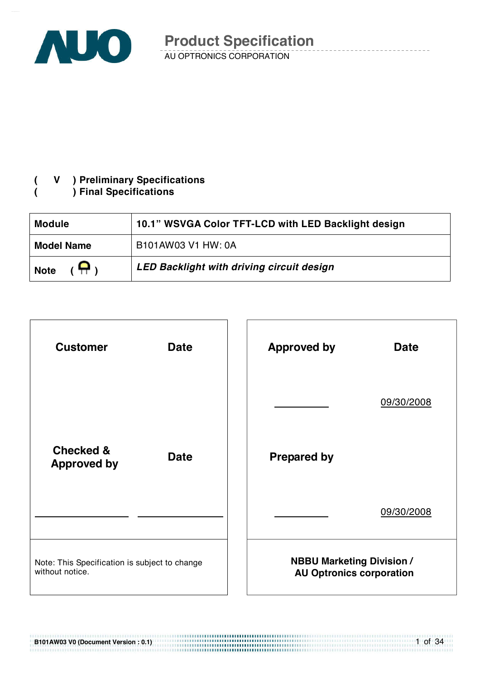

#### **( V ) Preliminary Specifications ( ) Final Specifications**

| <b>Module</b>                | 10.1" WSVGA Color TFT-LCD with LED Backlight design |
|------------------------------|-----------------------------------------------------|
| <b>Model Name</b>            | B101AW03 V1 HW: 0A                                  |
| $(\bigoplus)$<br><b>Note</b> | LED Backlight with driving circuit design           |



**B101AW03 V0 (Document Version : 0.1)** 

1 of 34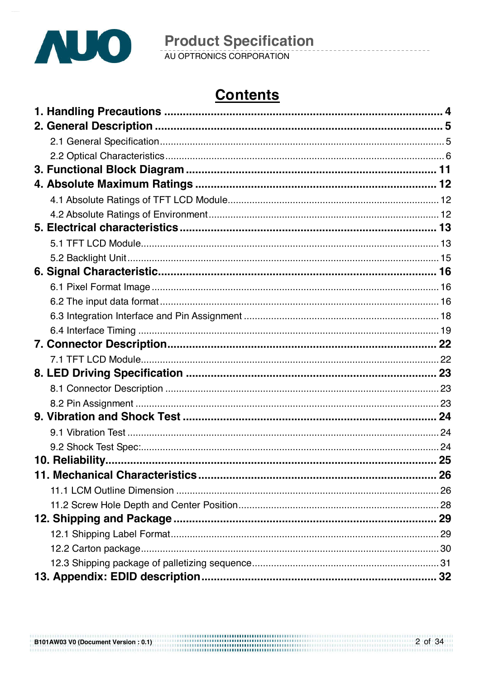

# **Contents**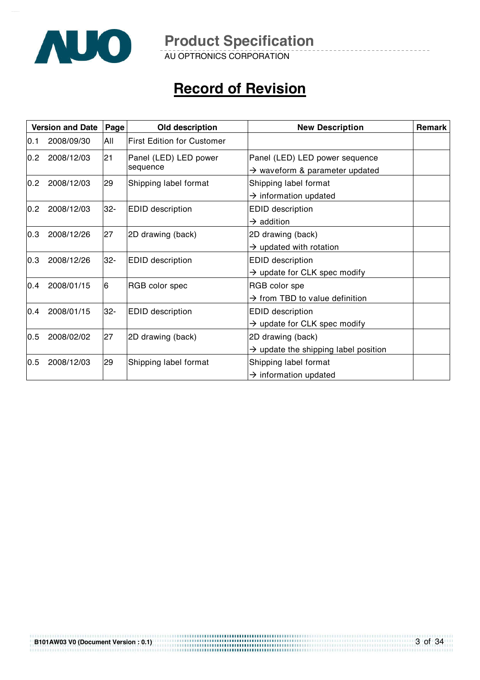

AU OPTRONICS CORPORATION

# **Record of Revision**

|      | <b>Version and Date</b> | Page  | Old description                   | <b>New Description</b>                                                       | <b>Remark</b> |
|------|-------------------------|-------|-----------------------------------|------------------------------------------------------------------------------|---------------|
| IO.1 | 2008/09/30              | All   | <b>First Edition for Customer</b> |                                                                              |               |
| 0.2  | 2008/12/03              | 21    | Panel (LED) LED power<br>sequence | Panel (LED) LED power sequence<br>$\rightarrow$ waveform & parameter updated |               |
| 0.2  | 2008/12/03              | 29    | Shipping label format             | Shipping label format<br>$\rightarrow$ information updated                   |               |
| 0.2  | 2008/12/03              | $32-$ | <b>EDID</b> description           | <b>EDID</b> description<br>$\rightarrow$ addition                            |               |
| 0.3  | 2008/12/26              | 27    | 2D drawing (back)                 | 2D drawing (back)<br>$\rightarrow$ updated with rotation                     |               |
| 0.3  | 2008/12/26              | $32-$ | <b>EDID</b> description           | <b>EDID description</b><br>$\rightarrow$ update for CLK spec modify          |               |
| 0.4  | 2008/01/15              | 6     | RGB color spec                    | RGB color spe<br>$\rightarrow$ from TBD to value definition                  |               |
| 0.4  | 2008/01/15              | $32-$ | <b>EDID</b> description           | <b>EDID</b> description<br>$\rightarrow$ update for CLK spec modify          |               |
| 0.5  | 2008/02/02              | 27    | 2D drawing (back)                 | 2D drawing (back)<br>$\rightarrow$ update the shipping label position        |               |
| 0.5  | 2008/12/03              | 29    | Shipping label format             | Shipping label format<br>$\rightarrow$ information updated                   |               |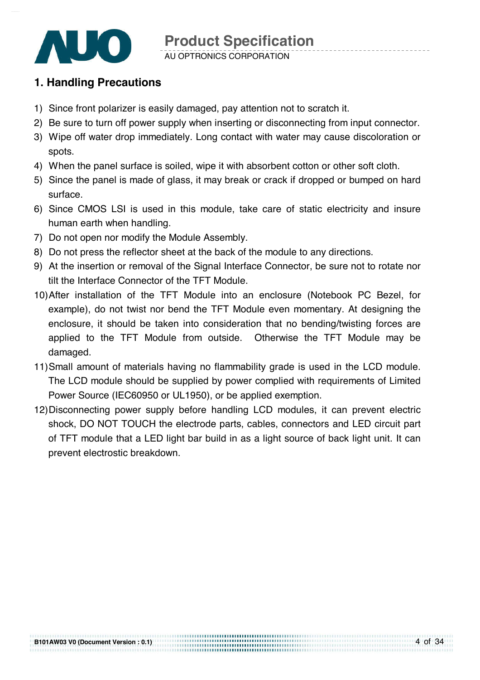

### **1. Handling Precautions**

- 1) Since front polarizer is easily damaged, pay attention not to scratch it.
- 2) Be sure to turn off power supply when inserting or disconnecting from input connector.
- 3) Wipe off water drop immediately. Long contact with water may cause discoloration or spots.
- 4) When the panel surface is soiled, wipe it with absorbent cotton or other soft cloth.
- 5) Since the panel is made of glass, it may break or crack if dropped or bumped on hard surface.
- 6) Since CMOS LSI is used in this module, take care of static electricity and insure human earth when handling.
- 7) Do not open nor modify the Module Assembly.
- 8) Do not press the reflector sheet at the back of the module to any directions.
- 9) At the insertion or removal of the Signal Interface Connector, be sure not to rotate nor tilt the Interface Connector of the TFT Module.
- 10) After installation of the TFT Module into an enclosure (Notebook PC Bezel, for example), do not twist nor bend the TFT Module even momentary. At designing the enclosure, it should be taken into consideration that no bending/twisting forces are applied to the TFT Module from outside. Otherwise the TFT Module may be damaged.
- 11) Small amount of materials having no flammability grade is used in the LCD module. The LCD module should be supplied by power complied with requirements of Limited Power Source (IEC60950 or UL1950), or be applied exemption.
- 12) Disconnecting power supply before handling LCD modules, it can prevent electric shock, DO NOT TOUCH the electrode parts, cables, connectors and LED circuit part of TFT module that a LED light bar build in as a light source of back light unit. It can prevent electrostic breakdown.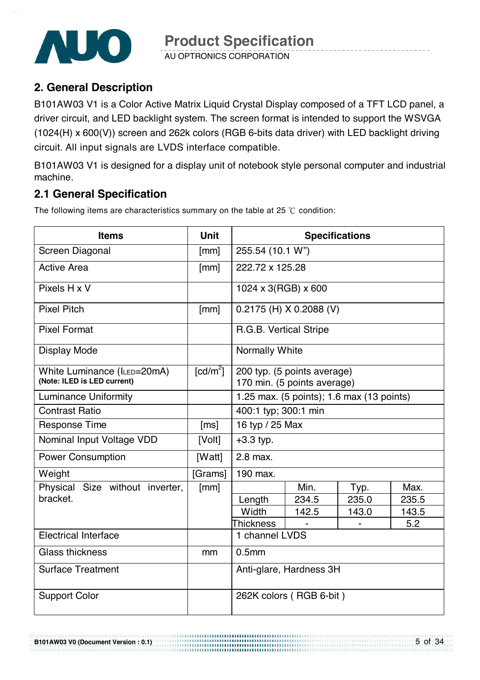

AU OPTRONICS CORPORATION

## **2. General Description**

B101AW03 V1 is a Color Active Matrix Liquid Crystal Display composed of a TFT LCD panel, a driver circuit, and LED backlight system. The screen format is intended to support the WSVGA (1024(H) x 600(V)) screen and 262k colors (RGB 6-bits data driver) with LED backlight driving circuit. All input signals are LVDS interface compatible.

B101AW03 V1 is designed for a display unit of notebook style personal computer and industrial machine.

## **2.1 General Specification**

The following items are characteristics summary on the table at 25  $\degree$ C condition:

| <b>Items</b>                                               | <b>Unit</b>                    |                                                            |                                           | <b>Specifications</b> |       |  |
|------------------------------------------------------------|--------------------------------|------------------------------------------------------------|-------------------------------------------|-----------------------|-------|--|
| Screen Diagonal                                            | [mm]                           | 255.54 (10.1 W")                                           |                                           |                       |       |  |
| <b>Active Area</b>                                         | [mm]                           | 222.72 x 125.28                                            |                                           |                       |       |  |
| Pixels H x V                                               |                                | 1024 x 3(RGB) x 600                                        |                                           |                       |       |  |
| <b>Pixel Pitch</b>                                         | [mm]                           |                                                            | $0.2175$ (H) X 0.2088 (V)                 |                       |       |  |
| <b>Pixel Format</b>                                        |                                | R.G.B. Vertical Stripe                                     |                                           |                       |       |  |
| <b>Display Mode</b>                                        |                                | <b>Normally White</b>                                      |                                           |                       |       |  |
| White Luminance (ILED=20mA)<br>(Note: ILED is LED current) | $\lceil \frac{cd}{m^2} \rceil$ | 200 typ. (5 points average)<br>170 min. (5 points average) |                                           |                       |       |  |
| <b>Luminance Uniformity</b>                                |                                |                                                            | 1.25 max. (5 points); 1.6 max (13 points) |                       |       |  |
| <b>Contrast Ratio</b>                                      |                                | 400:1 typ; 300:1 min                                       |                                           |                       |       |  |
| <b>Response Time</b>                                       | [ms]                           | 16 typ / 25 Max                                            |                                           |                       |       |  |
| Nominal Input Voltage VDD                                  | [Volt]                         | $+3.3$ typ.                                                |                                           |                       |       |  |
| <b>Power Consumption</b>                                   | [Watt]                         | 2.8 max.                                                   |                                           |                       |       |  |
| Weight                                                     | [Grams]                        | 190 max.                                                   |                                           |                       |       |  |
| Physical Size without inverter,                            | [mm]                           |                                                            | Min.                                      | Typ.                  | Max.  |  |
| bracket.                                                   |                                | Length                                                     | 234.5                                     | 235.0                 | 235.5 |  |
|                                                            |                                | Width                                                      | 142.5                                     | 143.0                 | 143.5 |  |
|                                                            |                                | Thickness                                                  |                                           |                       | 5.2   |  |
| <b>Electrical Interface</b>                                |                                | 1 channel LVDS                                             |                                           |                       |       |  |
| <b>Glass thickness</b>                                     | mm                             | 0.5 <sub>mm</sub>                                          |                                           |                       |       |  |
| <b>Surface Treatment</b>                                   |                                | Anti-glare, Hardness 3H                                    |                                           |                       |       |  |
| <b>Support Color</b>                                       |                                | 262K colors (RGB 6-bit)                                    |                                           |                       |       |  |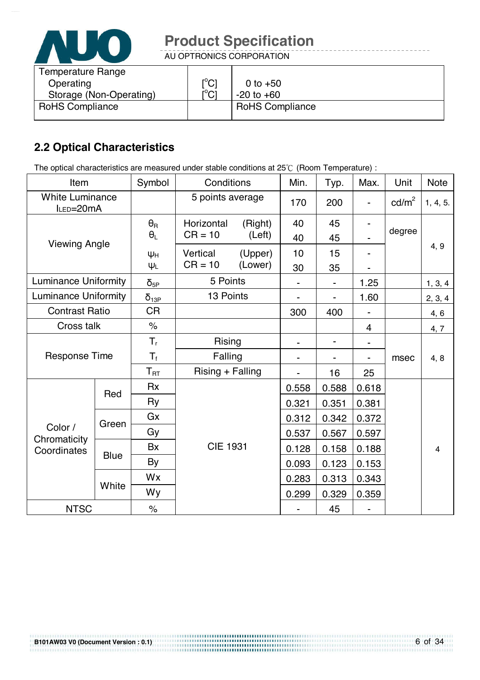

AU OPTRONICS CORPORATION

| <b>Temperature Range</b> |                                                           |                        |
|--------------------------|-----------------------------------------------------------|------------------------|
| Operating                | $\mathop{\rm l\mskip -3.5mu\phantom{0}^\circ C}\nolimits$ | 0 to $+50$             |
| Storage (Non-Operating)  | $\mathsf{I}^\circ\mathsf{C}$                              | $-20$ to $+60$         |
| <b>RoHS Compliance</b>   |                                                           | <b>RoHS Compliance</b> |
|                          |                                                           |                        |

## **2.2 Optical Characteristics**

The optical characteristics are measured under stable conditions at 25°C (Room Temperature) :

| Item                                |                                    | Symbol               | Conditions       |         | Min.                     | Typ.  | Max.  | Unit            | <b>Note</b>    |
|-------------------------------------|------------------------------------|----------------------|------------------|---------|--------------------------|-------|-------|-----------------|----------------|
| <b>White Luminance</b><br>ILED=20mA |                                    |                      | 5 points average |         | 170                      | 200   |       | $\text{cd/m}^2$ | 1, 4, 5.       |
|                                     |                                    | $\theta_{\rm R}$     | Horizontal       | (Right) | 40                       | 45    |       | degree          |                |
| <b>Viewing Angle</b>                |                                    | $\theta_L$           | $CR = 10$        | (Left)  | 40                       | 45    |       |                 |                |
|                                     |                                    | $\Psi H$             | Vertical         | (Upper) | 10                       | 15    |       |                 | 4, 9           |
|                                     |                                    | $\Psi_L$             | $CR = 10$        | (Lower) | 30                       | 35    |       |                 |                |
| <b>Luminance Uniformity</b>         |                                    | $\delta_{\text{5P}}$ | 5 Points         |         |                          |       | 1.25  |                 | 1, 3, 4        |
| <b>Luminance Uniformity</b>         |                                    | $\delta_{13P}$       | 13 Points        |         |                          |       | 1.60  |                 | 2, 3, 4        |
|                                     | <b>CR</b><br><b>Contrast Ratio</b> |                      | 300              | 400     |                          |       | 4, 6  |                 |                |
| Cross talk                          |                                    | $\frac{1}{\sqrt{2}}$ |                  |         |                          |       | 4     |                 | 4, 7           |
|                                     |                                    | $T_{r}$              | <b>Rising</b>    |         | $\overline{\phantom{0}}$ | -     |       |                 |                |
| <b>Response Time</b>                |                                    | $T_{\rm f}$          | Falling          |         | -                        |       |       | msec            | 4, 8           |
|                                     |                                    | $T_{\text{RT}}$      | Rising + Falling |         |                          | 16    | 25    |                 |                |
|                                     |                                    | <b>Rx</b>            |                  |         | 0.558                    | 0.588 | 0.618 |                 |                |
|                                     | Red                                | <b>Ry</b>            |                  |         | 0.321                    | 0.351 | 0.381 |                 |                |
|                                     | Green                              | Gx                   |                  |         | 0.312                    | 0.342 | 0.372 |                 |                |
| Color /                             |                                    | Gy                   |                  |         | 0.537                    | 0.567 | 0.597 |                 |                |
| Chromaticity<br>Coordinates         |                                    | Bx                   | <b>CIE 1931</b>  |         | 0.128                    | 0.158 | 0.188 |                 | $\overline{4}$ |
|                                     | <b>Blue</b>                        | By                   |                  |         | 0.093                    | 0.123 | 0.153 |                 |                |
|                                     |                                    | Wx                   |                  |         | 0.283                    | 0.313 | 0.343 |                 |                |
|                                     | White                              | Wy                   |                  |         | 0.299                    | 0.329 | 0.359 |                 |                |
| <b>NTSC</b>                         |                                    | $\%$                 |                  |         |                          | 45    |       |                 |                |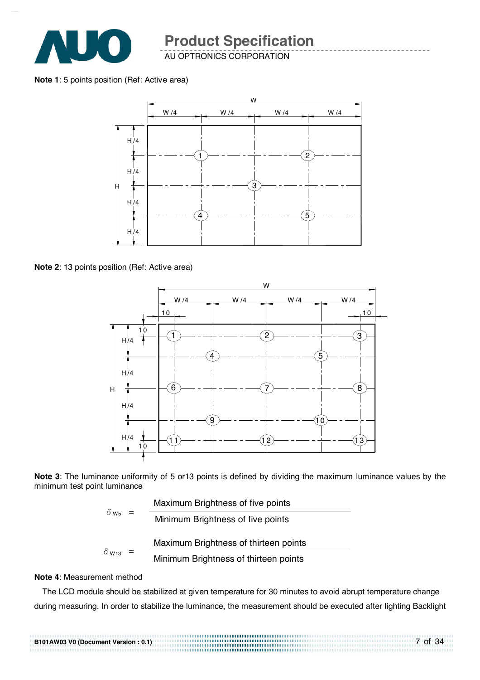

AU OPTRONICS CORPORATION

#### **Note 1**: 5 points position (Ref: Active area)



**Note 2**: 13 points position (Ref: Active area)



**Note 3**: The luminance uniformity of 5 or13 points is defined by dividing the maximum luminance values by the minimum test point luminance

|                          | Maximum Brightness of five points     |
|--------------------------|---------------------------------------|
| $\delta$ w <sub>5</sub>  | Minimum Brightness of five points     |
|                          | Maximum Brightness of thirteen points |
| $\delta$ W <sub>13</sub> | Minimum Brightness of thirteen points |
|                          |                                       |

#### **Note 4**: Measurement method

The LCD module should be stabilized at given temperature for 30 minutes to avoid abrupt temperature change during measuring. In order to stabilize the luminance, the measurement should be executed after lighting Backlight

| B101AW03 V0 (Document Version: 0.1) |  |
|-------------------------------------|--|
|                                     |  |
|                                     |  |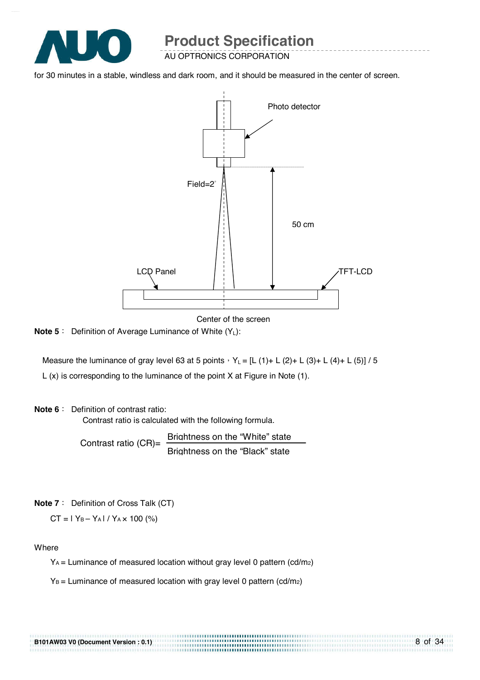

AU OPTRONICS CORPORATION

for 30 minutes in a stable, windless and dark room, and it should be measured in the center of screen.



Center of the screen

**Note 5** : Definition of Average Luminance of White (Y<sub>L</sub>):

Measure the luminance of gray level 63 at 5 points  $Y_L = [L (1) + L (2) + L (3) + L (4) + L (5)] / 5$ L (x) is corresponding to the luminance of the point X at Figure in Note (1).

#### **Note 6** : Definition of contrast ratio:

Contrast ratio is calculated with the following formula.

Contrast ratio  $(CR)$ = Brightness on the "White" state Brightness on the "Black" state

**Note 7** : Definition of Cross Talk (CT)

 $CT = |Y_B - Y_A| / Y_A \times 100$  (%)

**Where** 

 $Y_A$  = Luminance of measured location without gray level 0 pattern (cd/m<sub>2</sub>)

.................................

 $Y_B$  = Luminance of measured location with gray level 0 pattern (cd/m<sub>2</sub>)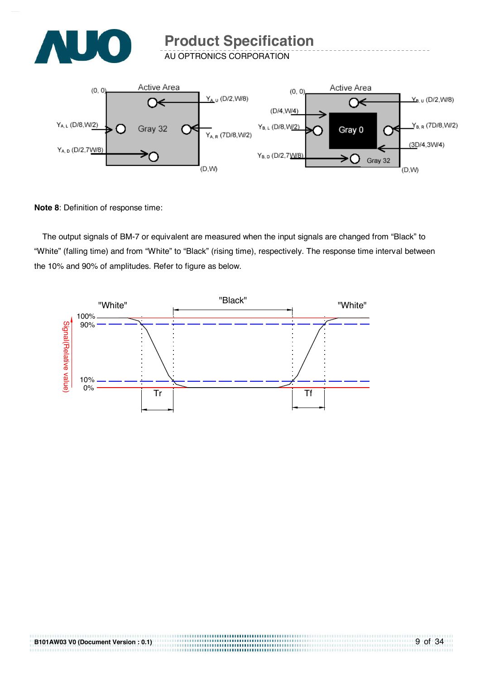

AU OPTRONICS CORPORATION



**Note 8**: Definition of response time:

The output signals of BM-7 or equivalent are measured when the input signals are changed from "Black" to "White" (falling time) and from "White" to "Black" (rising time), respectively. The response time interval between the 10% and 90% of amplitudes. Refer to figure as below.



..............................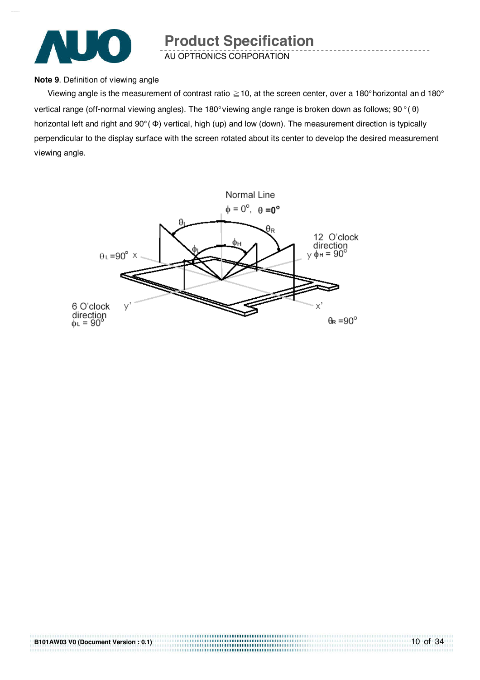

AU OPTRONICS CORPORATION

#### **Note 9**. Definition of viewing angle

Viewing angle is the measurement of contrast ratio  $\geq$  10, at the screen center, over a 180° horizontal and 180° vertical range (off-normal viewing angles). The 180° viewing angle range is broken down as follows; 90 ° ( θ) horizontal left and right and 90° ( Φ) vertical, high (up) and low (down). The measurement direction is typically perpendicular to the display surface with the screen rotated about its center to develop the desired measurement viewing angle.

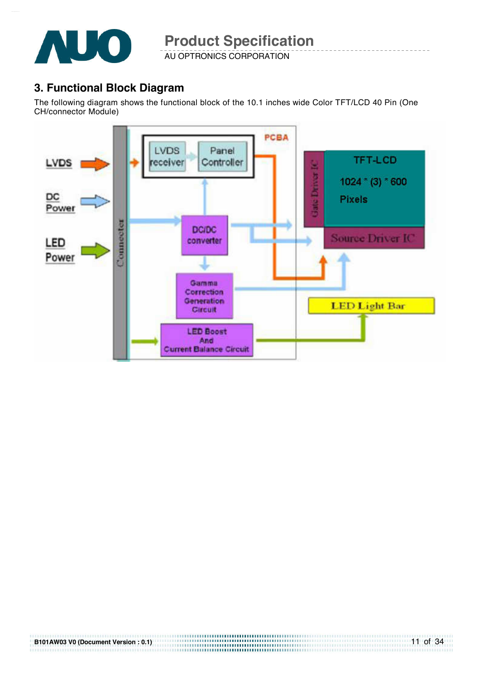

AU OPTRONICS CORPORATION

### **3. Functional Block Diagram**

The following diagram shows the functional block of the 10.1 inches wide Color TFT/LCD 40 Pin (One CH/connector Module)

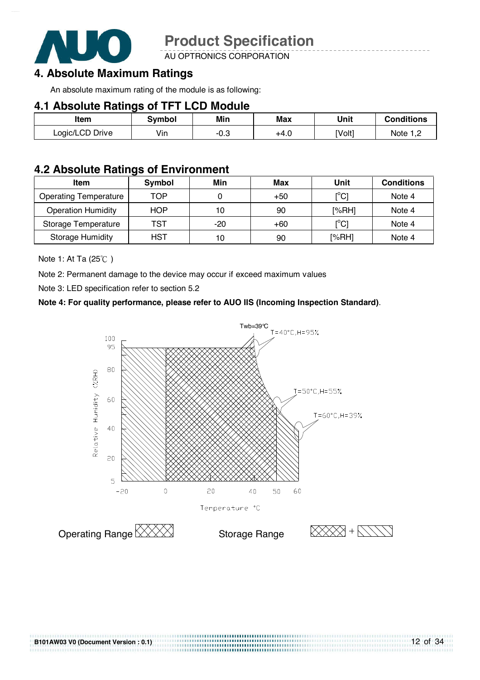

AU OPTRONICS CORPORATION

## **4. Absolute Maximum Ratings**

An absolute maximum rating of the module is as following:

#### **4.1 Absolute Ratings of TFT LCD Module**

| ltem            | Svmbol | Min                    | Max  | Unit   | <b>Conditions</b> |
|-----------------|--------|------------------------|------|--------|-------------------|
| Logic/LCD Drive | Vin    | $\cap$ $\circ$<br>-v.J | +4.0 | [Volt] | Note              |

### **4.2 Absolute Ratings of Environment**

| <b>Item</b>                  | Symbol     | Min   | Max   | Unit                                    | <b>Conditions</b> |
|------------------------------|------------|-------|-------|-----------------------------------------|-------------------|
| <b>Operating Temperature</b> | TOP        |       | $+50$ | $\mathsf{I}^\circ\mathsf{C} \mathsf{I}$ | Note 4            |
| <b>Operation Humidity</b>    | <b>HOP</b> | 10    | 90    | [%RH]                                   | Note 4            |
| Storage Temperature          | TST        | $-20$ | $+60$ | $\mathsf{I}^\circ\mathsf{C} \mathsf{I}$ | Note 4            |
| <b>Storage Humidity</b>      | HST        | 10    | 90    | [%RH]                                   | Note 4            |

Note 1: At Ta  $(25^{\circ}C)$ 

Note 2: Permanent damage to the device may occur if exceed maximum values

Note 3: LED specification refer to section 5.2

#### **Note 4: For quality performance, please refer to AUO IIS (Incoming Inspection Standard)**.



.............................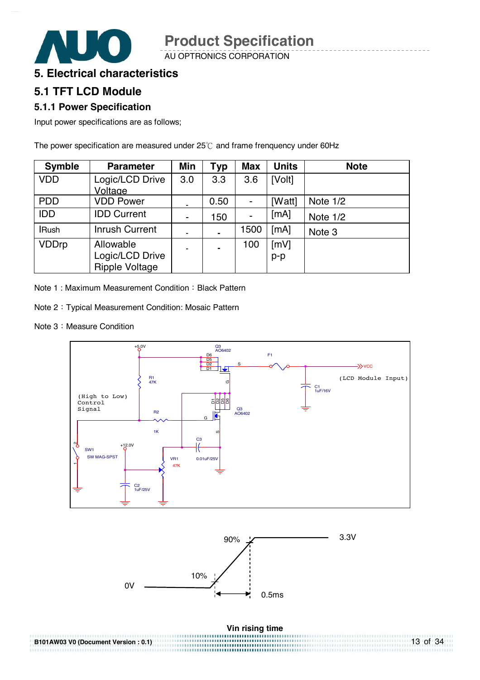AU OPTRONICS CORPORATION

### **5. Electrical characteristics**

### **5.1 TFT LCD Module**

#### **5.1.1 Power Specification**

Input power specifications are as follows;

The power specification are measured under  $25^{\circ}$  and frame frenquency under 60Hz

| <b>Symble</b> | <b>Parameter</b>            | Min            | Typ  | <b>Max</b>     | <b>Units</b> | <b>Note</b> |
|---------------|-----------------------------|----------------|------|----------------|--------------|-------------|
| <b>VDD</b>    | Logic/LCD Drive             | 3.0            | 3.3  | 3.6            | [Volt]       |             |
| <b>PDD</b>    | Voltage<br><b>VDD Power</b> |                | 0.50 |                |              |             |
|               |                             |                |      | $\blacksquare$ | [Watt]       | Note 1/2    |
| <b>IDD</b>    | <b>IDD Current</b>          | ۰              | 150  | -              | [mA]         | Note 1/2    |
| <b>IRush</b>  | <b>Inrush Current</b>       | ۰              |      | 1500           | [mA]         | Note 3      |
| <b>VDDrp</b>  | Allowable                   | $\blacksquare$ |      | 100            | [mV]         |             |
|               | Logic/LCD Drive             |                |      |                | $p-p$        |             |
|               | <b>Ripple Voltage</b>       |                |      |                |              |             |

Note 1: Maximum Measurement Condition : Black Pattern

- Note 2: Typical Measurement Condition: Mosaic Pattern
- Note 3 : Measure Condition



| B101AW03 V0 (Document Version: 0.1) | $13$ of 34 |
|-------------------------------------|------------|
|                                     |            |
|                                     |            |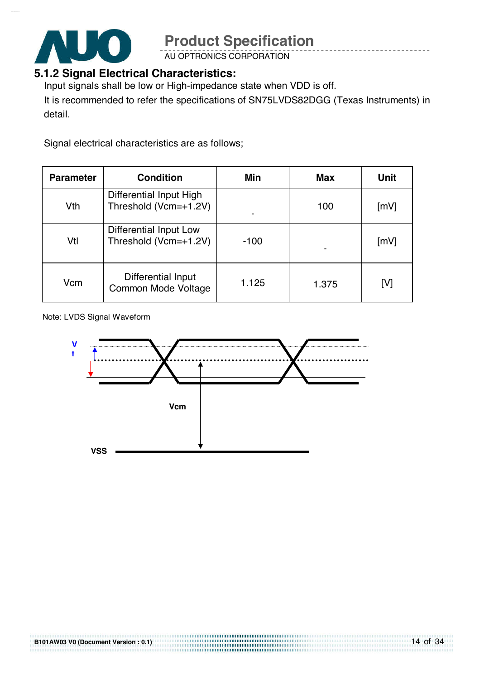

AU OPTRONICS CORPORATION

## **5.1.2 Signal Electrical Characteristics:**

Input signals shall be low or High-impedance state when VDD is off.

It is recommended to refer the specifications of SN75LVDS82DGG (Texas Instruments) in detail.

Signal electrical characteristics are as follows;

| <b>Parameter</b> | <b>Condition</b>                                 | Min    | <b>Max</b> | Unit |
|------------------|--------------------------------------------------|--------|------------|------|
| Vth              | Differential Input High<br>Threshold (Vcm=+1.2V) |        | 100        | [mV] |
| Vtl              | Differential Input Low<br>Threshold (Vcm=+1.2V)  | $-100$ |            | [mV] |
| Vcm              | Differential Input<br>Common Mode Voltage        | 1.125  | 1.375      | [V]  |

Note: LVDS Signal Waveform

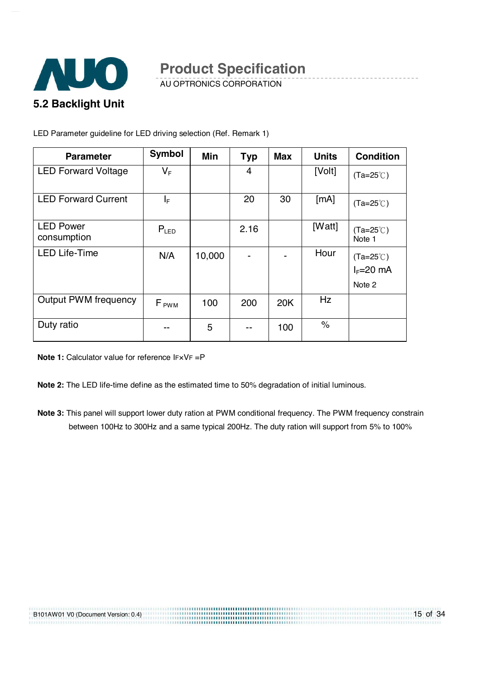

AU OPTRONICS CORPORATION

LED Parameter guideline for LED driving selection (Ref. Remark 1)

| <b>Parameter</b>                | <b>Symbol</b> | Min    | <b>Typ</b> | <b>Max</b> | <b>Units</b> | <b>Condition</b>             |
|---------------------------------|---------------|--------|------------|------------|--------------|------------------------------|
| <b>LED Forward Voltage</b>      | $V_F$         |        | 4          |            | [Volt]       | $(Ta=25^{\circ}C)$           |
| <b>LED Forward Current</b>      | IF.           |        | 20         | 30         | [mA]         | $(Ta=25^{\circ}C)$           |
| <b>LED Power</b><br>consumption | $P_{LED}$     |        | 2.16       |            | [Watt]       | $(Ta=25^{\circ}C)$<br>Note 1 |
| <b>LED Life-Time</b>            | N/A           | 10,000 |            |            | Hour         | $(Ta=25^{\circ}C)$           |
|                                 |               |        |            |            |              | $I_F=20$ mA                  |
|                                 |               |        |            |            |              | Note 2                       |
| <b>Output PWM frequency</b>     | $F_{PWM}$     | 100    | 200        | 20K        | Hz           |                              |
| Duty ratio                      | --            | 5      |            | 100        | $\%$         |                              |

**Note 1:** Calculator value for reference IF×VF =P

**Note 2:** The LED life-time define as the estimated time to 50% degradation of initial luminous.

**Note 3:** This panel will support lower duty ration at PWM conditional frequency. The PWM frequency constrain between 100Hz to 300Hz and a same typical 200Hz. The duty ration will support from 5% to 100%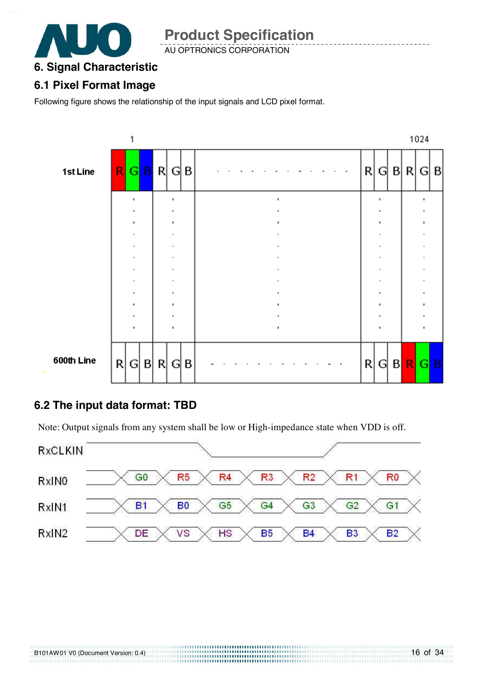

AU OPTRONICS CORPORATION

## **6. Signal Characteristic**

## **6.1 Pixel Format Image**

Following figure shows the relationship of the input signals and LCD pixel format.



## **6.2 The input data format: TBD**

Note: Output signals from any system shall be low or High-impedance state when VDD is off.

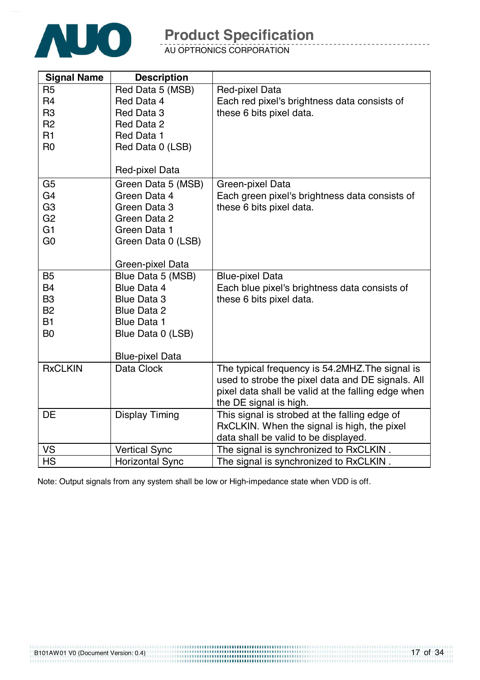

AU OPTRONICS CORPORATION

| <b>Signal Name</b>          | <b>Description</b>                       |                                                    |
|-----------------------------|------------------------------------------|----------------------------------------------------|
| R <sub>5</sub>              | Red Data 5 (MSB)                         | Red-pixel Data                                     |
| R <sub>4</sub>              | Red Data 4                               | Each red pixel's brightness data consists of       |
| R <sub>3</sub>              | Red Data 3                               | these 6 bits pixel data.                           |
| R <sub>2</sub>              | Red Data 2                               |                                                    |
| R <sub>1</sub>              | Red Data 1                               |                                                    |
| R <sub>0</sub>              | Red Data 0 (LSB)                         |                                                    |
|                             |                                          |                                                    |
|                             | Red-pixel Data                           |                                                    |
| G <sub>5</sub>              | Green Data 5 (MSB)                       | Green-pixel Data                                   |
| G <sub>4</sub>              | Green Data 4                             | Each green pixel's brightness data consists of     |
| G <sub>3</sub>              | Green Data 3                             | these 6 bits pixel data.                           |
| G <sub>2</sub>              | Green Data 2                             |                                                    |
| G <sub>1</sub>              | Green Data 1                             |                                                    |
| G <sub>0</sub>              | Green Data 0 (LSB)                       |                                                    |
|                             |                                          |                                                    |
|                             | Green-pixel Data                         |                                                    |
| <b>B5</b>                   | Blue Data 5 (MSB)                        | <b>Blue-pixel Data</b>                             |
| <b>B4</b>                   | Blue Data 4                              | Each blue pixel's brightness data consists of      |
| B <sub>3</sub><br><b>B2</b> | <b>Blue Data 3</b><br><b>Blue Data 2</b> | these 6 bits pixel data.                           |
| <b>B1</b>                   | <b>Blue Data 1</b>                       |                                                    |
| B <sub>0</sub>              | Blue Data 0 (LSB)                        |                                                    |
|                             |                                          |                                                    |
|                             | <b>Blue-pixel Data</b>                   |                                                    |
| <b>RxCLKIN</b>              | Data Clock                               | The typical frequency is 54.2MHZ. The signal is    |
|                             |                                          | used to strobe the pixel data and DE signals. All  |
|                             |                                          | pixel data shall be valid at the falling edge when |
|                             |                                          | the DE signal is high.                             |
| <b>DE</b>                   | <b>Display Timing</b>                    | This signal is strobed at the falling edge of      |
|                             |                                          | RxCLKIN. When the signal is high, the pixel        |
|                             |                                          | data shall be valid to be displayed.               |
| VS                          | <b>Vertical Sync</b>                     | The signal is synchronized to RxCLKIN.             |
| <b>HS</b>                   | <b>Horizontal Sync</b>                   | The signal is synchronized to RxCLKIN.             |

Note: Output signals from any system shall be low or High-impedance state when VDD is off.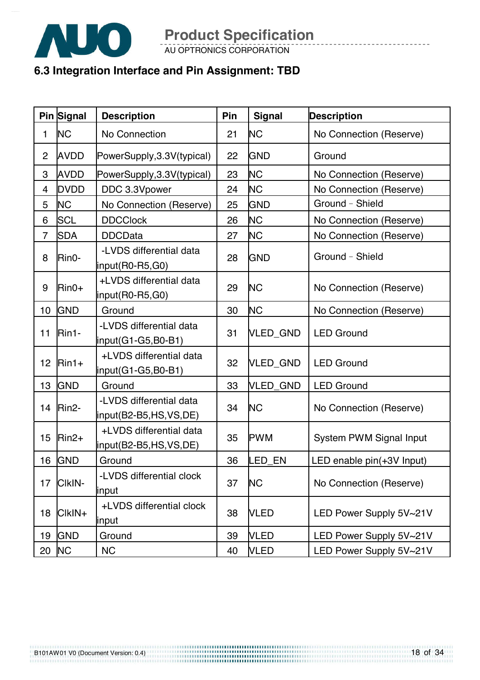

AU OPTRONICS CORPORATION

## **6.3 Integration Interface and Pin Assignment: TBD**

|                | Pin Signal         | <b>Description</b>                               | Pin | <b>Signal</b> | <b>Description</b>             |
|----------------|--------------------|--------------------------------------------------|-----|---------------|--------------------------------|
| 1              | <b>NC</b>          | No Connection                                    | 21  | <b>NC</b>     | No Connection (Reserve)        |
| $\overline{2}$ | <b>AVDD</b>        | PowerSupply, 3.3V(typical)                       | 22  | <b>GND</b>    | Ground                         |
| 3              | <b>AVDD</b>        | PowerSupply, 3.3V(typical)                       | 23  | <b>NC</b>     | No Connection (Reserve)        |
| 4              | <b>DVDD</b>        | DDC 3.3Vpower                                    | 24  | <b>NC</b>     | No Connection (Reserve)        |
| 5              | <b>NC</b>          | No Connection (Reserve)                          | 25  | <b>GND</b>    | Ground - Shield                |
| 6              | <b>SCL</b>         | <b>DDCClock</b>                                  | 26  | <b>NC</b>     | No Connection (Reserve)        |
| $\overline{7}$ | <b>SDA</b>         | <b>DDCData</b>                                   | 27  | <b>NC</b>     | No Connection (Reserve)        |
| 8              | Rin0-              | -LVDS differential data<br>input(R0-R5,G0)       | 28  | <b>GND</b>    | Ground - Shield                |
| 9              | $Rin0+$            | +LVDS differential data<br>input(R0-R5,G0)       | 29  | <b>NC</b>     | No Connection (Reserve)        |
| 10             | <b>GND</b>         | Ground                                           | 30  | <b>NC</b>     | No Connection (Reserve)        |
| 11             | Rin1-              | -LVDS differential data<br>input(G1-G5,B0-B1)    | 31  | VLED_GND      | <b>LED Ground</b>              |
| 12             | $Rin1+$            | +LVDS differential data<br>input(G1-G5,B0-B1)    | 32  | VLED_GND      | <b>LED Ground</b>              |
| 13             | <b>GND</b>         | Ground                                           | 33  | VLED_GND      | <b>LED Ground</b>              |
| 14             | Rin <sub>2</sub> - | -LVDS differential data<br>input(B2-B5,HS,VS,DE) | 34  | <b>NC</b>     | No Connection (Reserve)        |
| 15             | $Rin2+$            | +LVDS differential data<br>input(B2-B5,HS,VS,DE) | 35  | <b>PWM</b>    | <b>System PWM Signal Input</b> |
|                | 16 GND             | Ground                                           | 36  | LED EN        | LED enable pin(+3V Input)      |
| 17             | CIKIN-             | -LVDS differential clock<br>input                | 37  | <b>NC</b>     | No Connection (Reserve)        |
| 18             | CIkIN+             | +LVDS differential clock<br>input                | 38  | <b>VLED</b>   | LED Power Supply 5V~21V        |
| 19             | <b>GND</b>         | Ground                                           | 39  | <b>VLED</b>   | LED Power Supply 5V~21V        |
| 20             | <b>NC</b>          | <b>NC</b>                                        | 40  | <b>VLED</b>   | LED Power Supply 5V~21V        |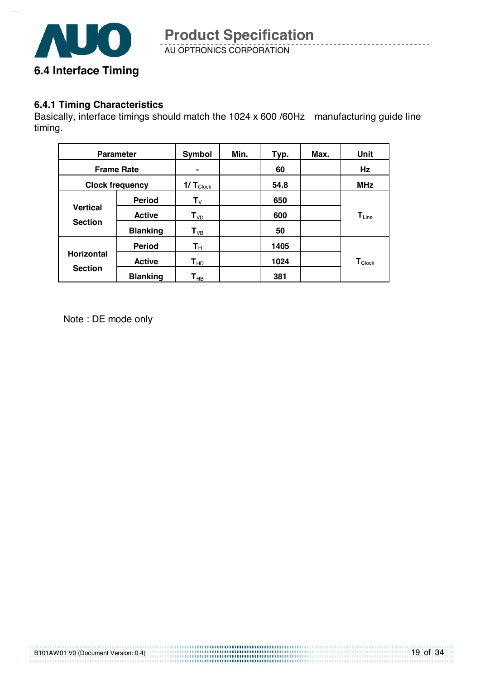

AU OPTRONICS CORPORATION **Product Specification** 

#### **6.4.1 Timing Characteristics**

Basically, interface timings should match the 1024 x 600 /60Hz manufacturing guide line timing.

| <b>Parameter</b>       |                 | Symbol                     | Min. | Typ. | Max. | Unit                         |
|------------------------|-----------------|----------------------------|------|------|------|------------------------------|
| <b>Frame Rate</b>      |                 |                            |      | 60   |      | Hz                           |
| <b>Clock frequency</b> |                 | $1/\,T_{\text{Clock}}$     |      | 54.8 |      | <b>MHz</b>                   |
|                        | <b>Period</b>   | ${\bf T}_{\sf V}$          |      | 650  |      |                              |
| <b>Vertical</b>        | <b>Active</b>   | $T_{VD}$                   |      | 600  |      | $\mathbf{T}_{\mathsf{Line}}$ |
| <b>Section</b>         | <b>Blanking</b> | $T_{VB}$                   |      | 50   |      |                              |
|                        | <b>Period</b>   | $\mathsf{T}_\mathsf{H}$    |      | 1405 |      |                              |
| <b>Horizontal</b>      | <b>Active</b>   | $\mathsf{T}_{\mathsf{HD}}$ |      | 1024 |      | $\mathbf{T}_{\text{Clock}}$  |
| <b>Section</b>         | <b>Blanking</b> | $\mathsf{T}_{\mathsf{HB}}$ |      | 381  |      |                              |

Note : DE mode only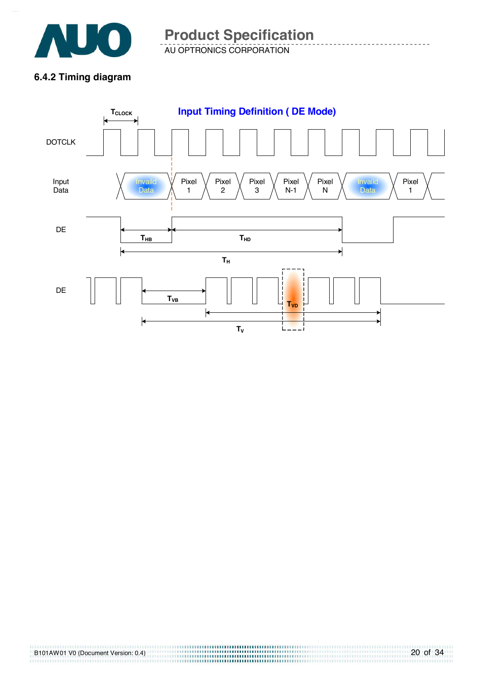

AU OPTRONICS CORPORATION **Product Specification** 

## **6.4.2 Timing diagram**

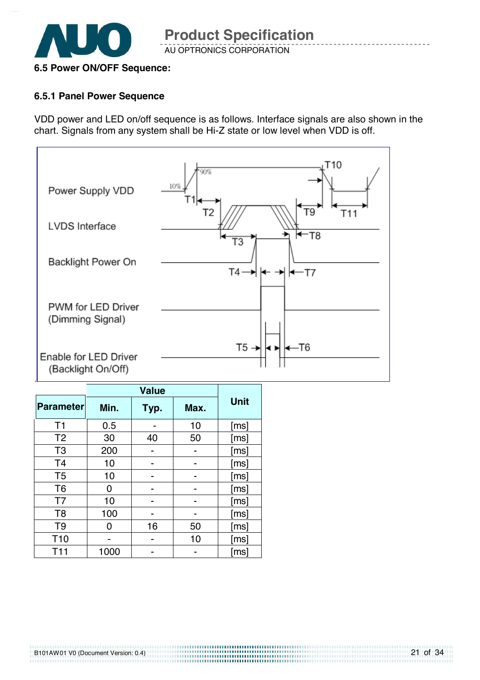

## **6.5 Power ON/OFF Sequence:**

#### **6.5.1 Panel Power Sequence**

VDD power and LED on/off sequence is as follows. Interface signals are also shown in the chart. Signals from any system shall be Hi-Z state or low level when VDD is off.



| <b>Parameter</b> | Min. | Typ. | Max. | <b>Unit</b> |  |
|------------------|------|------|------|-------------|--|
| T <sub>1</sub>   | 0.5  |      | 10   | [ms]        |  |
| T <sub>2</sub>   | 30   | 40   | 50   | [ms]        |  |
| T <sub>3</sub>   | 200  |      |      | [ms]        |  |
| T <sub>4</sub>   | 10   |      |      | [ms]        |  |
| T <sub>5</sub>   | 10   |      |      | [ms]        |  |
| T <sub>6</sub>   | O    |      |      | [ms]        |  |
| T7               | 10   |      |      | [ms]        |  |
| T <sub>8</sub>   | 100  |      |      | [ms]        |  |
| T <sub>9</sub>   | n    | 16   | 50   | [ms]        |  |
| T <sub>10</sub>  |      |      | 10   | [ms]        |  |
| T11              | 1000 |      |      | [ms]        |  |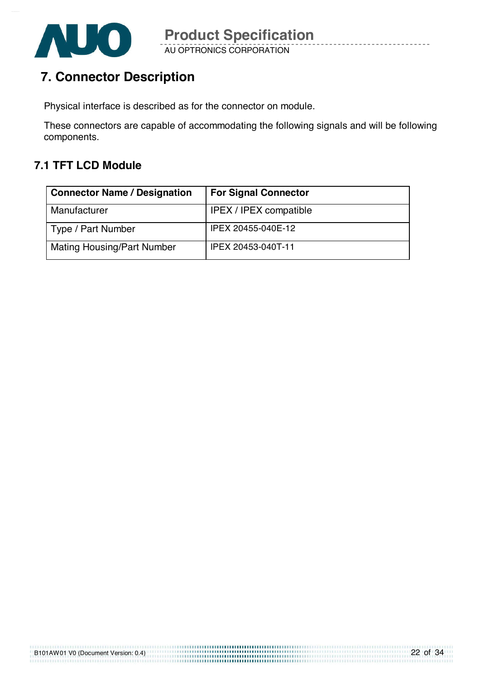

## **7. Connector Description**

Physical interface is described as for the connector on module.

These connectors are capable of accommodating the following signals and will be following components.

## **7.1 TFT LCD Module**

| <b>Connector Name / Designation</b> | <b>For Signal Connector</b>   |
|-------------------------------------|-------------------------------|
| Manufacturer                        | <b>IPEX / IPEX compatible</b> |
| Type / Part Number                  | IPEX 20455-040E-12            |
| <b>Mating Housing/Part Number</b>   | IPEX 20453-040T-11            |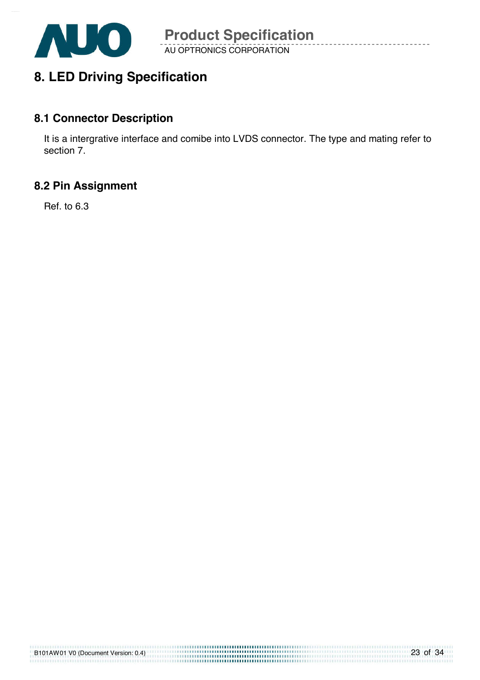

## **8. LED Driving Specification**

## **8.1 Connector Description**

It is a intergrative interface and comibe into LVDS connector. The type and mating refer to section 7.

## **8.2 Pin Assignment**

Ref. to 6.3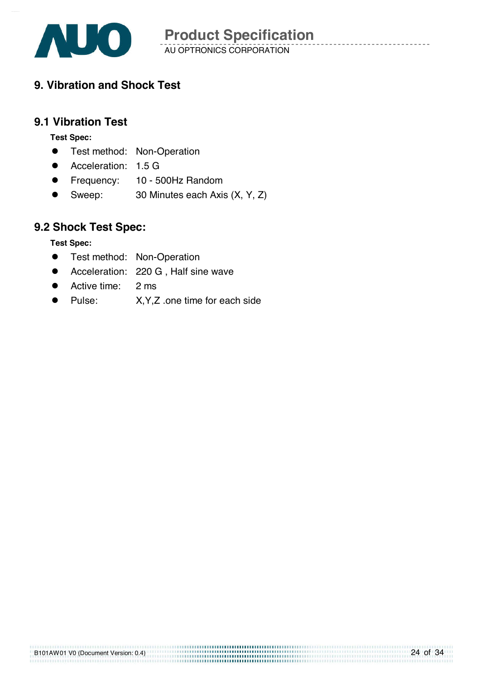

## **9. Vibration and Shock Test**

### **9.1 Vibration Test**

**Test Spec:** 

- **•** Test method: Non-Operation
- Acceleration: 1.5 G
- **•** Frequency: 10 500Hz Random
- Sweep: 30 Minutes each Axis (X, Y, Z)

## **9.2 Shock Test Spec:**

**Test Spec:** 

- **•** Test method: Non-Operation
- **•** Acceleration: 220 G, Half sine wave
- Active time: 2 ms
- Pulse: X, Y, Z .one time for each side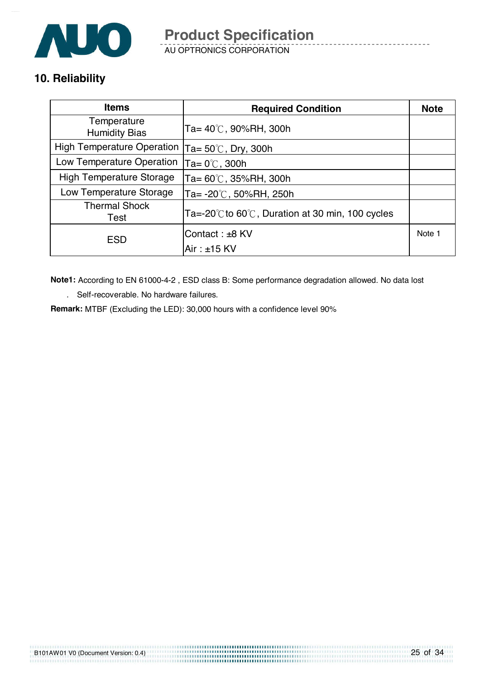

AU OPTRONICS CORPORATION

## **10. Reliability**

| <b>Items</b>                        | <b>Required Condition</b>                                            | <b>Note</b> |
|-------------------------------------|----------------------------------------------------------------------|-------------|
| Temperature<br><b>Humidity Bias</b> | Ta= $40^{\circ}$ C, 90%RH, 300h                                      |             |
| <b>High Temperature Operation</b>   | Ta= 50 $^\circ \textsf{C}$ , Dry, 300h                               |             |
| Low Temperature Operation           | Ta= $0^{\circ}$ C, 300h                                              |             |
| <b>High Temperature Storage</b>     | Ta= $60^{\circ}$ C, 35%RH, 300h                                      |             |
| Low Temperature Storage             | Ta= $-20^{\circ}$ C, 50%RH, 250h                                     |             |
| <b>Thermal Shock</b><br>Test        | Ta=-20 $\degree$ C to 60 $\degree$ C, Duration at 30 min, 100 cycles |             |
| <b>ESD</b>                          | Contact: ±8 KV                                                       | Note 1      |
|                                     | $Air : ±15$ KV                                                       |             |

**Note1:** According to EN 61000-4-2 , ESD class B: Some performance degradation allowed. No data lost

25 of 34

. Self-recoverable. No hardware failures.

B101AW01 V0 (Document Version: 0.4)

**Remark:** MTBF (Excluding the LED): 30,000 hours with a confidence level 90%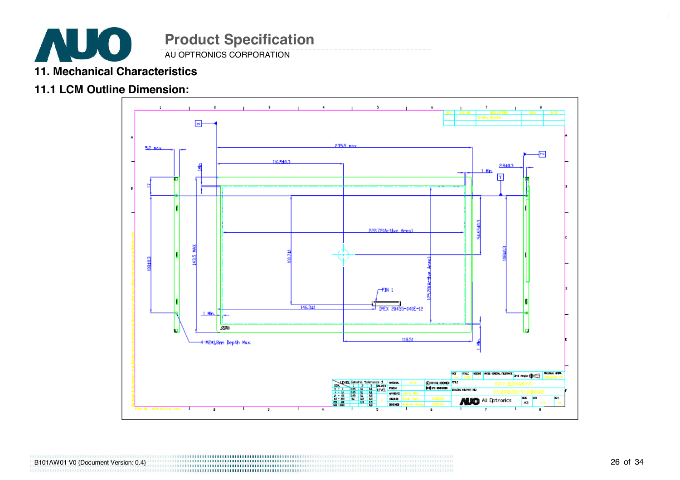

#### AU OPTRONICS CORPORATION

## **11. Mechanical Characteristics**

### **11.1 LCM Outline Dimension:**



B101AW01 V0 (Document Version: 0.4)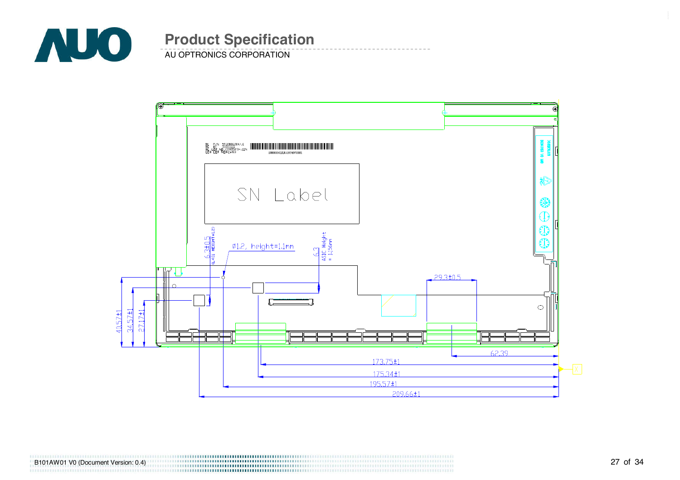

**AU OPTRONICS CORPORATION** 



B101AW01 V0 (Document Version: 0.4)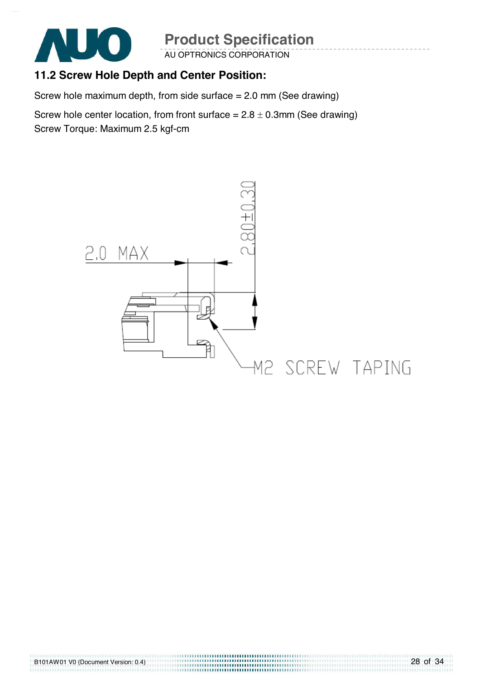

AU OPTRONICS CORPORATION

## **11.2 Screw Hole Depth and Center Position:**

Screw hole maximum depth, from side surface = 2.0 mm (See drawing)

Screw hole center location, from front surface  $= 2.8 \pm 0.3$ mm (See drawing) Screw Torque: Maximum 2.5 kgf-cm

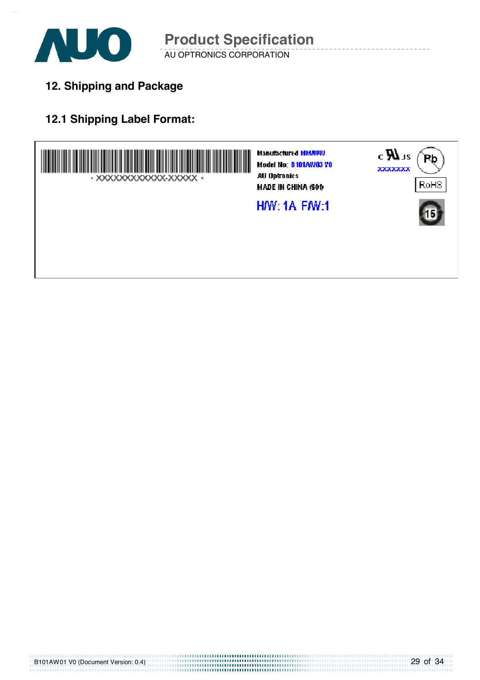

**12. Shipping and Package**

## **12.1 Shipping Label Format:**

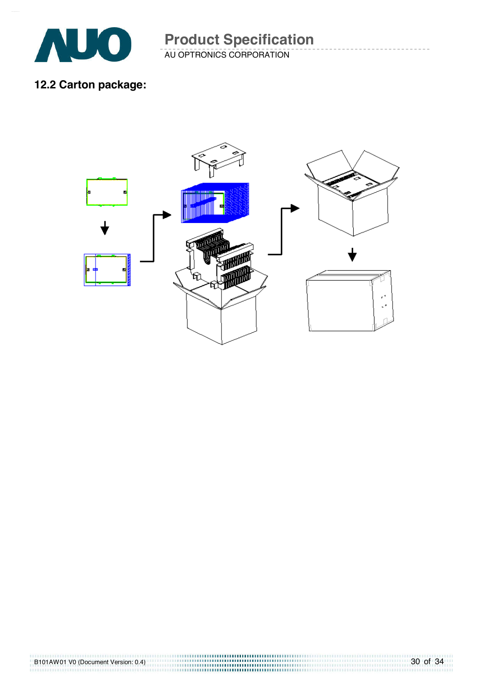

AU OPTRONICS CORPORATION **Product Specification** 

**12.2 Carton package:** 

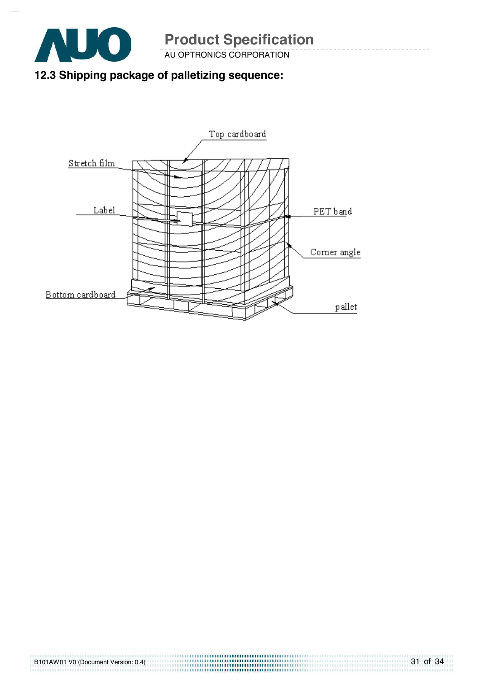

AU OPTRONICS CORPORATION

## **12.3 Shipping package of palletizing sequence:**

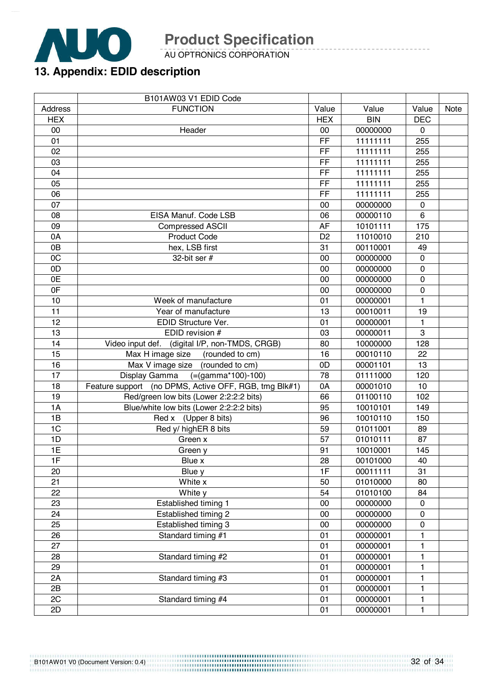

AU OPTRONICS CORPORATION

## **13. Appendix: EDID description**

|                | B101AW03 V1 EDID Code                                 |                |            |                |      |
|----------------|-------------------------------------------------------|----------------|------------|----------------|------|
| <b>Address</b> | <b>FUNCTION</b>                                       | Value          | Value      | Value          | Note |
| <b>HEX</b>     |                                                       | <b>HEX</b>     | <b>BIN</b> | <b>DEC</b>     |      |
| 00             | Header                                                | 00             | 00000000   | $\mathbf 0$    |      |
| 01             |                                                       | FF             | 11111111   | 255            |      |
| 02             |                                                       | FF             | 11111111   | 255            |      |
| 03             |                                                       | FF             | 11111111   | 255            |      |
| 04             |                                                       | FF             | 11111111   | 255            |      |
| 05             |                                                       | FF             | 11111111   | 255            |      |
| 06             |                                                       | FF             | 11111111   | 255            |      |
| 07             |                                                       | 00             | 00000000   | $\mathbf 0$    |      |
| 08             | EISA Manuf. Code LSB                                  | 06             | 00000110   | 6              |      |
| 09             | <b>Compressed ASCII</b>                               | <b>AF</b>      | 10101111   | 175            |      |
| 0A             | <b>Product Code</b>                                   | D <sub>2</sub> | 11010010   | 210            |      |
| 0B             | hex, LSB first                                        | 31             | 00110001   | 49             |      |
| 0C             | 32-bit ser $#$                                        | 00             | 00000000   | $\mathbf 0$    |      |
| 0D             |                                                       | 00             | 00000000   | $\mathbf 0$    |      |
| 0E             |                                                       | 00             | 00000000   | $\overline{0}$ |      |
| 0F             |                                                       | 00             | 00000000   | $\mathbf 0$    |      |
| 10             | Week of manufacture                                   | 01             | 00000001   | 1              |      |
| 11             | Year of manufacture                                   | 13             | 00010011   | 19             |      |
| 12             | EDID Structure Ver.                                   | 01             | 00000001   | 1              |      |
| 13             | EDID revision #                                       | 03             | 00000011   | 3              |      |
| 14             | Video input def. (digital I/P, non-TMDS, CRGB)        | 80             | 10000000   | 128            |      |
| 15             | Max H image size<br>(rounded to cm)                   | 16             | 00010110   | 22             |      |
| 16             | Max V image size<br>(rounded to cm)                   | 0D             | 00001101   | 13             |      |
| 17             | $(=(gamma*100)-100)$<br>Display Gamma                 | 78             | 01111000   | 120            |      |
| 18             | Feature support (no DPMS, Active OFF, RGB, tmg Blk#1) | 0A             | 00001010   | 10             |      |
| 19             | Red/green low bits (Lower 2:2:2:2 bits)               | 66             | 01100110   | 102            |      |
| 1A             | Blue/white low bits (Lower 2:2:2:2 bits)              | 95             | 10010101   | 149            |      |
| 1B             | Red x (Upper 8 bits)                                  | 96             | 10010110   | 150            |      |
| 1 <sub>C</sub> | Red y/ highER 8 bits                                  | 59             | 01011001   | 89             |      |
| 1D             | Green x                                               | 57             | 01010111   | 87             |      |
| 1E             | Green y                                               | 91             | 10010001   | 145            |      |
| 1F             | Blue x                                                | 28             | 00101000   | 40             |      |
| 20             | Blue y                                                | 1F             | 00011111   | 31             |      |
| 21             | White x                                               | 50             | 01010000   | 80             |      |
| 22             | White y                                               | 54             | 01010100   | 84             |      |
| 23             | Established timing 1                                  | 00             | 00000000   | 0              |      |
| 24             | Established timing 2                                  | 00             | 00000000   | $\pmb{0}$      |      |
| 25             | Established timing 3                                  | 00             | 00000000   | 0              |      |
| 26             | Standard timing #1                                    | 01             | 00000001   | 1              |      |
| 27             |                                                       | 01             | 00000001   | 1              |      |
| 28             | Standard timing #2                                    | 01             | 00000001   | 1              |      |
| 29             |                                                       | 01             | 00000001   | 1              |      |
| 2A             | Standard timing #3                                    | 01             | 00000001   | 1              |      |
| 2B             |                                                       | 01             | 00000001   | 1              |      |
| 2C             | Standard timing #4                                    | 01             | 00000001   | 1              |      |
| 2D             |                                                       | 01             | 00000001   | 1              |      |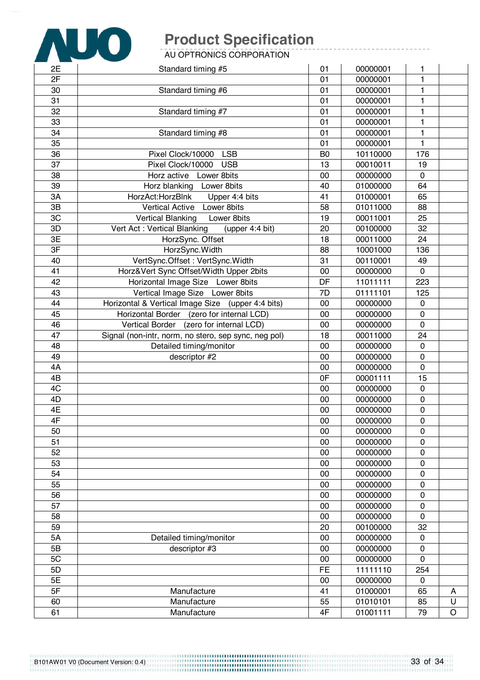

AU OPTRONICS CORPORATION

| 2E                       | Standard timing #5                                   | 01             | 00000001 | 1            |         |
|--------------------------|------------------------------------------------------|----------------|----------|--------------|---------|
| 2F                       |                                                      | 01             | 00000001 | 1            |         |
| 30                       | Standard timing #6                                   | 01             | 00000001 | 1            |         |
| 31                       |                                                      | 01             | 00000001 | 1            |         |
| 32                       | Standard timing #7                                   | 01             | 00000001 | 1            |         |
| 33                       |                                                      | 01             | 00000001 | 1            |         |
| 34                       | Standard timing #8                                   | 01             | 00000001 | $\mathbf{1}$ |         |
| 35                       |                                                      | 01             | 00000001 | $\mathbf{1}$ |         |
| 36                       | Pixel Clock/10000<br><b>LSB</b>                      | B <sub>0</sub> | 10110000 | 176          |         |
| 37                       | Pixel Clock/10000<br><b>USB</b>                      | 13             | 00010011 | 19           |         |
| 38                       | Horz active Lower 8bits                              | 00             | 00000000 | $\mathbf 0$  |         |
| 39                       | Horz blanking Lower 8bits                            | 40             | 01000000 | 64           |         |
| 3A                       | HorzAct: HorzBlnk<br>Upper 4:4 bits                  | 41             | 01000001 | 65           |         |
| 3B                       | <b>Vertical Active</b><br>Lower 8bits                | 58             | 01011000 | 88           |         |
| 3C                       | Lower 8bits<br><b>Vertical Blanking</b>              | 19             | 00011001 | 25           |         |
| 3D                       | Vert Act: Vertical Blanking<br>(upper 4:4 bit)       | 20             | 00100000 | 32           |         |
| 3E                       | HorzSync. Offset                                     | 18             | 00011000 | 24           |         |
| $\overline{\mathsf{3F}}$ | HorzSync.Width                                       | 88             | 10001000 | 136          |         |
| 40                       | VertSync.Offset: VertSync.Width                      | 31             | 00110001 | 49           |         |
| 41                       | Horz‖ Sync Offset/Width Upper 2bits                  | 00             | 00000000 | 0            |         |
| 42                       | Horizontal Image Size Lower 8bits                    | DF             | 11011111 | 223          |         |
| 43                       | Vertical Image Size Lower 8bits                      | 7D             | 01111101 | 125          |         |
| 44                       | Horizontal & Vertical Image Size (upper 4:4 bits)    | 00             | 00000000 | $\mathbf 0$  |         |
| 45                       | Horizontal Border (zero for internal LCD)            | 00             | 00000000 | $\mathbf 0$  |         |
| 46                       | Vertical Border (zero for internal LCD)              | 00             | 00000000 | $\mathbf 0$  |         |
| 47                       | Signal (non-intr, norm, no stero, sep sync, neg pol) | 18             | 00011000 | 24           |         |
| 48                       | Detailed timing/monitor                              | 00             | 00000000 | $\mathbf 0$  |         |
| 49                       | descriptor #2                                        | 00             | 00000000 | $\mathbf 0$  |         |
| 4A                       |                                                      | 00             | 00000000 | $\mathbf 0$  |         |
| 4B                       |                                                      | 0F             | 00001111 | 15           |         |
| 4C                       |                                                      | 00             | 00000000 | $\mathbf 0$  |         |
| 4D                       |                                                      | 00             | 00000000 | $\mathbf 0$  |         |
| 4E                       |                                                      | 00             | 00000000 | $\mathbf 0$  |         |
| 4F                       |                                                      | 00             | 00000000 | $\mathbf 0$  |         |
| 50                       |                                                      | 00             | 00000000 | $\mathbf 0$  |         |
| 51                       |                                                      | 00             | 00000000 | 0            |         |
| 52                       |                                                      | 00             | 00000000 | $\mathbf 0$  |         |
| 53                       |                                                      | 00             | 00000000 | $\mathbf 0$  |         |
| 54                       |                                                      | 00             | 00000000 | $\mathbf 0$  |         |
| 55                       |                                                      | 00             | 00000000 | $\mathbf 0$  |         |
| 56                       |                                                      | 00             | 00000000 | $\pmb{0}$    |         |
| 57                       |                                                      | 00             | 00000000 | $\mathbf 0$  |         |
| 58                       |                                                      | 00             | 00000000 | $\mathbf 0$  |         |
| 59                       |                                                      | 20             | 00100000 | 32           |         |
| 5A                       | Detailed timing/monitor                              | 00             | 00000000 | $\mathbf 0$  |         |
| 5B                       | descriptor #3                                        | 00             | 00000000 | $\mathbf 0$  |         |
| 5C                       |                                                      | 00             | 00000000 | $\mathbf 0$  |         |
| 5D                       |                                                      | FE             | 11111110 | 254          |         |
| 5E                       |                                                      | 00             | 00000000 | $\pmb{0}$    |         |
| 5F                       | Manufacture                                          | 41             | 01000001 | 65           | A       |
| 60                       | Manufacture                                          | 55             | 01010101 | 85           | U       |
| 61                       | Manufacture                                          | 4F             | 01001111 | 79           | $\circ$ |

B101AW01 V0 (Document Version: 0.4)